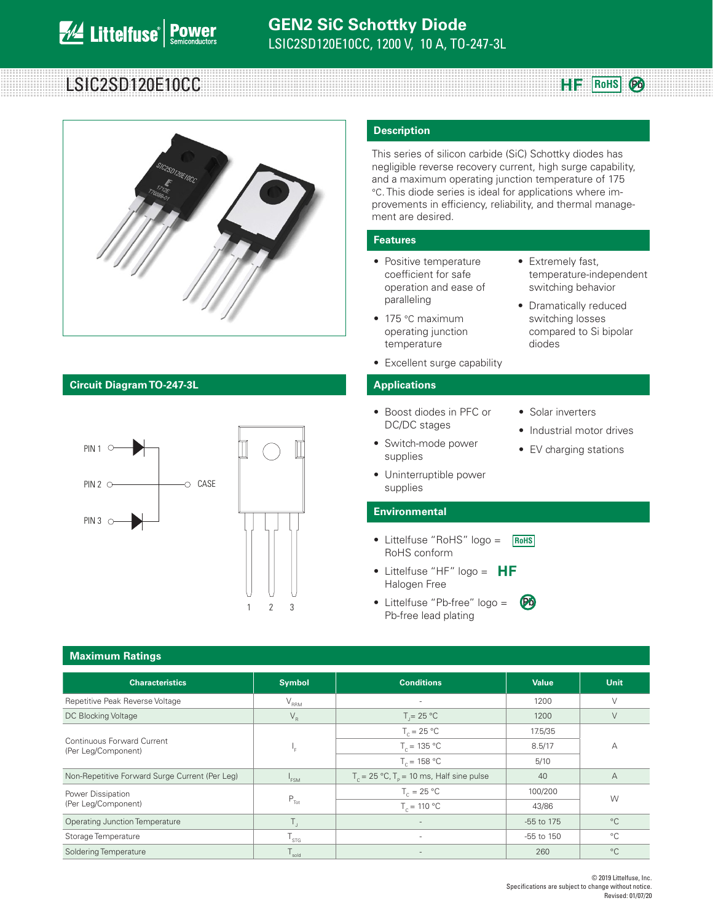# LSIC2SD120E10CC **Register and Alternative Contract Contract Contract Contract Contract Contract Contract Control**



### **Circuit Diagram TO-247-3L Applications**



#### **Description**

This series of silicon carbide (SiC) Schottky diodes has negligible reverse recovery current, high surge capability, and a maximum operating junction temperature of 175 °C. This diode series is ideal for applications where improvements in efficiency, reliability, and thermal management are desired.

#### **Features**

- Positive temperature coefficient for safe operation and ease of paralleling
- 175 °C maximum operating junction temperature
- Excellent surge capability

- Boost diodes in PFC or DC/DC stages
- Switch-mode power supplies
- Solar inverters

diodes

• Extremely fast,

temperature-independent switching behavior • Dramatically reduced switching losses compared to Si bipolar

**Pb**

- Industrial motor drives
- EV charging stations
- Uninterruptible power supplies

### **Environmental**

- Littelfuse "RoHS" logo = RoHS conform **RoHS**
- Littelfuse "HF"  $logo = HF$ Halogen Free
- **•** Littelfuse "Pb-free" logo = **Pb** Pb-free lead plating

| <b>Maximum Ratings</b>                            |                                 |                                                             |                |                |  |  |
|---------------------------------------------------|---------------------------------|-------------------------------------------------------------|----------------|----------------|--|--|
| <b>Characteristics</b>                            | <b>Symbol</b>                   | <b>Conditions</b>                                           | <b>Value</b>   | <b>Unit</b>    |  |  |
| Repetitive Peak Reverse Voltage                   | $V_{\rm RRM}$                   | $\sim$                                                      | 1200           | $\vee$         |  |  |
| DC Blocking Voltage                               | $\mathsf{V}_\mathsf{R}$         | $T = 25 °C$                                                 | 1200           | $\vee$         |  |  |
|                                                   |                                 | $T_c = 25 °C$                                               | 17.5/35        | A              |  |  |
| Continuous Forward Current<br>(Per Leg/Component) | ۱.                              | $T_c = 135 °C$                                              | 8.5/17         |                |  |  |
|                                                   |                                 | $T_c = 158 °C$                                              | 5/10           |                |  |  |
| Non-Repetitive Forward Surge Current (Per Leg)    | <sup>1</sup> FSM                | $T_c = 25 \text{ °C}, T_p = 10 \text{ ms},$ Half sine pulse | 40             | $\overline{A}$ |  |  |
| Power Dissipation                                 |                                 | $T_c = 25 °C$                                               | 100/200        | W              |  |  |
| (Per Leg/Component)                               | $P_{\text{Tot}}$                | $T_c = 110 °C$                                              | 43/86          |                |  |  |
| <b>Operating Junction Temperature</b>             | Τ.                              |                                                             | -55 to 175     | $^{\circ}C$    |  |  |
| Storage Temperature                               | $\mathsf{T}_{\textsf{STG}}$     | $\sim$                                                      | $-55$ to $150$ | $^{\circ}C$    |  |  |
| Soldering Temperature                             | ${\mathsf T}_{\text{\sf sold}}$ | $\overline{a}$                                              | 260            | $^{\circ}C$    |  |  |

#### © 2019 Littelfuse, Inc. Specifications are subject to change without notice. Revised: 01/07/20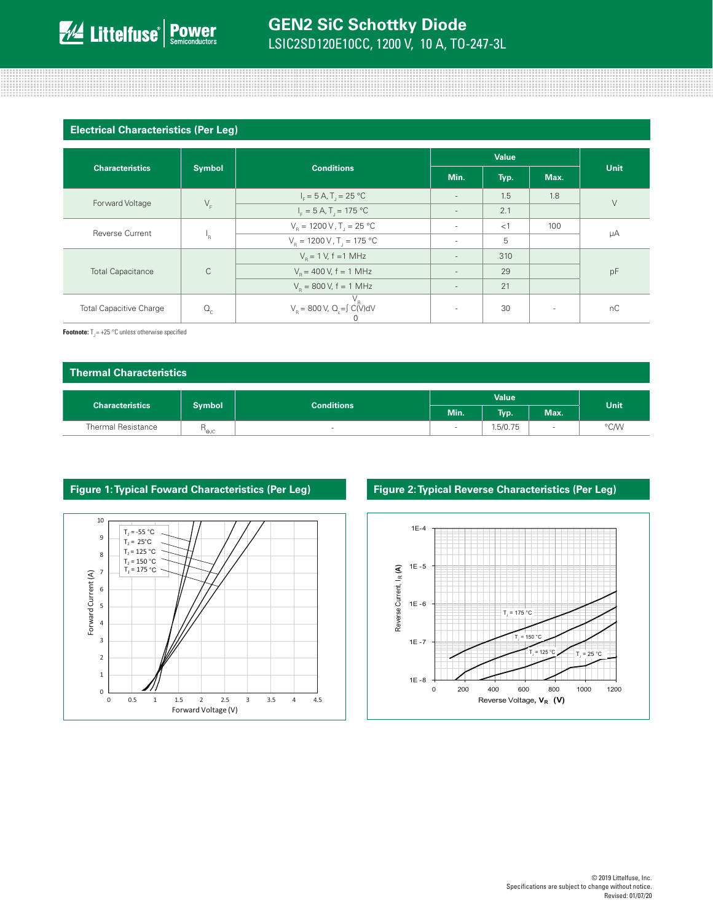#### **Electrical Characteristics (Per Leg)**

| <b>Characteristics</b>         | <b>Symbol</b>  | <b>Conditions</b>                                   | Value                    |       |                          | Unit   |
|--------------------------------|----------------|-----------------------------------------------------|--------------------------|-------|--------------------------|--------|
|                                |                |                                                     | Min.                     | Typ.  | Max.                     |        |
|                                |                | $I_F = 5 A, T_J = 25 °C$                            | $\overline{\phantom{a}}$ | 1.5   | 1.8                      | $\vee$ |
| Forward Voltage                | $V_F$          | $I_{F} = 5 A, T_{1} = 175 °C$                       | $\overline{\phantom{a}}$ | 2.1   |                          |        |
| <b>Reverse Current</b>         | <sup>1</sup> R | $V_{\rm B} = 1200 \,\rm V$ , T <sub>1</sub> = 25 °C | ٠                        | $<$ 1 | 100                      | μA     |
|                                |                | $V_R = 1200 V, T_J = 175 °C$                        | $\overline{\phantom{a}}$ | 5     |                          |        |
| <b>Total Capacitance</b>       | $\mathsf{C}$   | $V_p = 1 V$ , f = 1 MHz                             | $\overline{\phantom{a}}$ | 310   |                          | pF     |
|                                |                | $V_e = 400 V$ , f = 1 MHz                           | $\overline{\phantom{a}}$ | 29    |                          |        |
|                                |                | $V_R$ = 800 V, f = 1 MHz                            | $\overline{\phantom{a}}$ | 21    |                          |        |
| <b>Total Capacitive Charge</b> | $Q_{\rm c}$    | $V_R = 800 \text{ V}, Q_c = \int C(V) dV$           | $\sim$                   | 30    | $\overline{\phantom{a}}$ | nC     |

**Footnote:**  $T_1 = +25 \degree C$  unless otherwise specified

| Thermal Characteristics |                  |                                    |              |          |      |      |
|-------------------------|------------------|------------------------------------|--------------|----------|------|------|
|                         |                  | <b>Conditions</b><br><b>Symbol</b> | <b>Value</b> |          |      |      |
| <b>Characteristics</b>  |                  |                                    | Min.         | Typ.     | Max. | Unit |
| Thermal Resistance      | n <sub>ejc</sub> | $\sim$                             | $\,$         | 1.5/0.75 |      | °C/W |



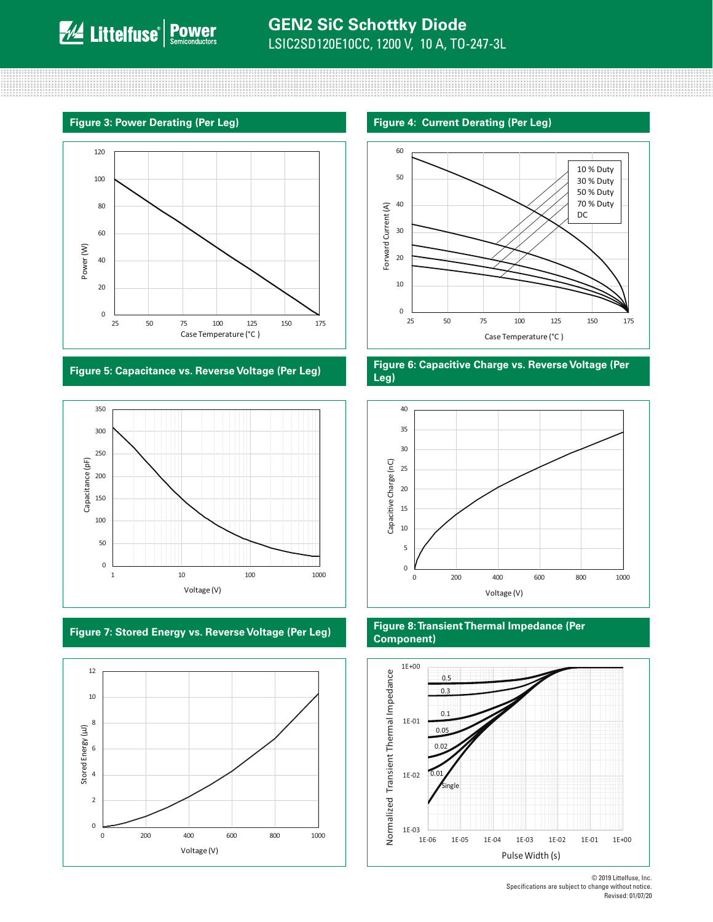





#### **Figure 3: Power Derating (Per Leg) Figure 4: Current Derating (Per Leg)**



#### **Figure 5: Capacitance vs. Reverse Voltage (Per Leg) Figure 6: Capacitive Charge vs. Reverse Voltage (Per Leg)**



### **Figure 7: Stored Energy vs. Reverse Voltage (Per Leg) Figure 8: Transient Thermal Impedance (Per Component)**



© 2019 Littelfuse, Inc. Specifications are subject to change without notice. Revised: 01/07/20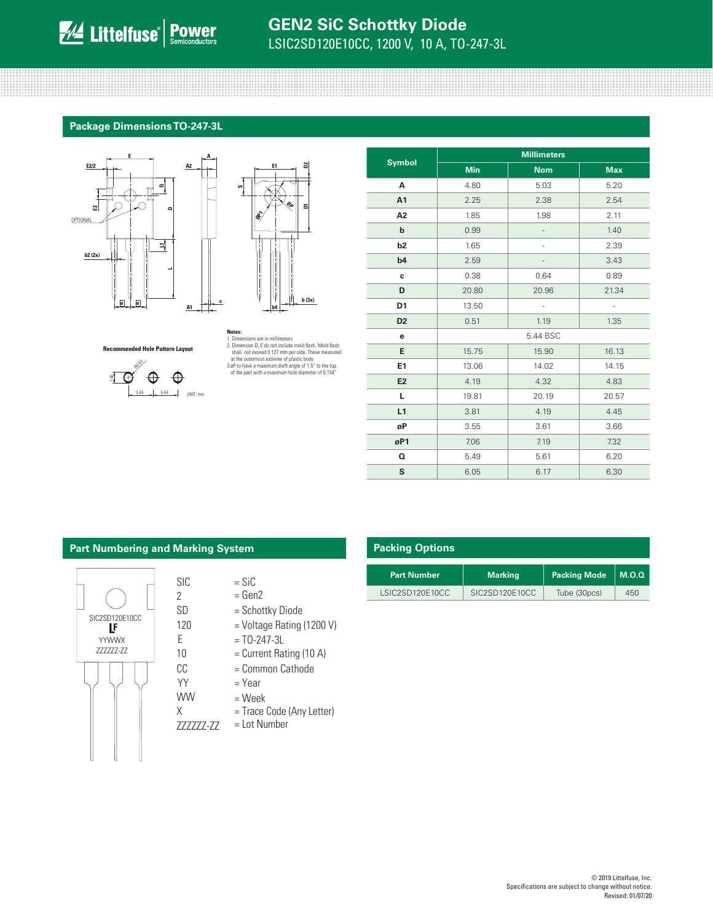# **GEN2 SiC Schottky Diode** LSIC2SD120E10CC, 1200 V, 10 A, TO-247-3L

#### **Package Dimensions TO-247-3L**

**A**

**c**





#### **Recommended Hole Pattern Layout**



## **Notes:** 1. Dimensions are in millimeters 2. Dimension D, E do not include mold flash. Mold flash shall not exceed 0.127 mm per side. These measured<br>at the outermost extreme of plastic body.<br>3.0P to have a maximum draft angle of 1.5° to the top<br>of the part with a maximum hole diameter of 0.154"

|                | <b>Millimeters</b> |            |            |  |  |
|----------------|--------------------|------------|------------|--|--|
| <b>Symbol</b>  | <b>Min</b>         | <b>Nom</b> | <b>Max</b> |  |  |
| А              | 4.80               | 5.03       | 5.20       |  |  |
| A1             | 2.25               | 2.38       | 2.54       |  |  |
| A <sub>2</sub> | 1.85               | 1.98       | 2.11       |  |  |
| b              | 0.99               |            | 1.40       |  |  |
| b2             | 1.65               |            | 2.39       |  |  |
| b4             | 2.59               |            | 3.43       |  |  |
| c              | 0.38               | 0.64       | 0.89       |  |  |
| D              | 20.80              | 20.96      | 21.34      |  |  |
| D <sub>1</sub> | 13.50              | ä,         |            |  |  |
| D <sub>2</sub> | 0.51               | 1.19       | 1.35       |  |  |
| е              |                    | 5.44 BSC   |            |  |  |
| E              | 15.75              | 15.90      | 16.13      |  |  |
| E1             | 13.06              | 14.02      | 14.15      |  |  |
| E <sub>2</sub> | 4.19               | 4.32       | 4.83       |  |  |
| L.             | 19.81              | 20.19      | 20.57      |  |  |
| L1             | 3.81               | 4.19       | 4.45       |  |  |
| øP             | 3.55               | 3.61       | 3.66       |  |  |
| øP1            | 7.06               | 7.19       | 7.32       |  |  |
| o              | 5.49               | 5.61       | 6.20       |  |  |
| S              | 6.05               | 6.17       | 6.30       |  |  |

#### **Part Numbering and Marking System**

SIC 2 SD

E

120

YY WW X

CC

10



- $=$  SiC
- = Gen2
- = Schottky Diode
- = Voltage Rating (1200 V)
- $=$  TO-247-3L
- = Current Rating (10 A)
- = Common Cathode
- = Year
- = Week
- = Trace Code (Any Letter)
- ZZZZZZ-ZZ = Lot Number

# **Packing Options**

| <b>Part Number</b> | <b>Marking</b> | <b>Packing Mode</b> | M.O. Q. |
|--------------------|----------------|---------------------|---------|
| LSIC2SD120E10CC    | SIC2SD120E10CC | Tube (30pcs)        | 450     |